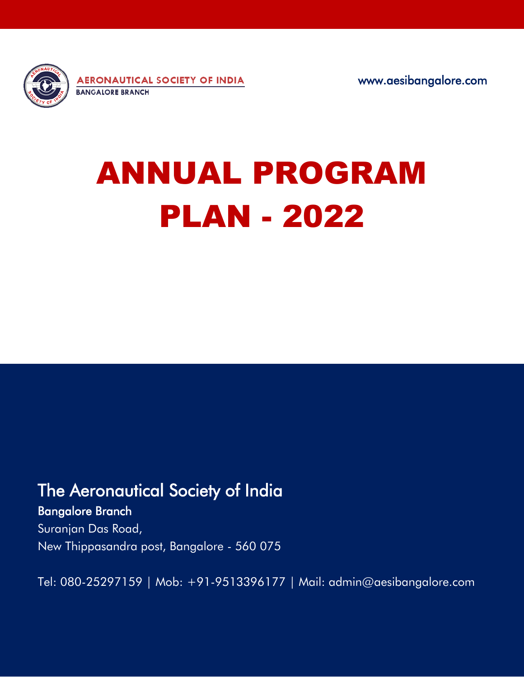

www.aesibangalore.com

## ANNUAL PROGRAM PLAN - 2022

## The Aeronautical Society of India

## Bangalore Branch

Suranjan Das Road, New Thippasandra post, Bangalore - 560 075

Tel: 080-25297159 | Mob: +91-9513396177 | Mail: admin@aesibangalore.com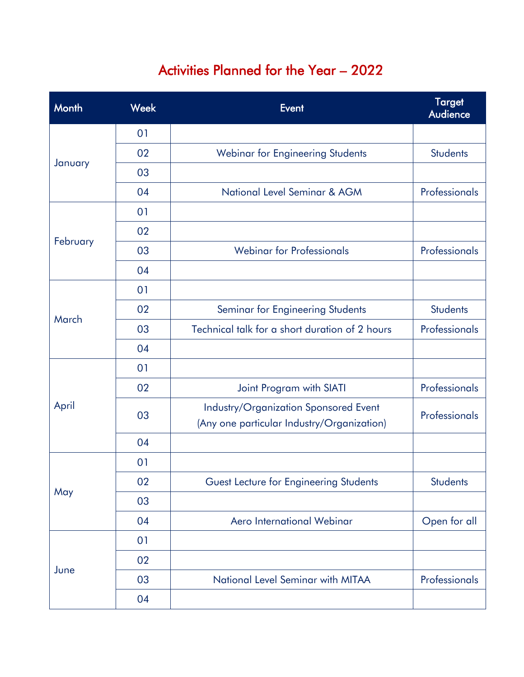## Activities Planned for the Year – 2022

| Month    | <b>Week</b> | <b>Event</b>                                                                        | <b>Target</b><br><b>Audience</b> |
|----------|-------------|-------------------------------------------------------------------------------------|----------------------------------|
| January  | 01          |                                                                                     |                                  |
|          | 02          | Webinar for Engineering Students                                                    | <b>Students</b>                  |
|          | 03          |                                                                                     |                                  |
|          | 04          | National Level Seminar & AGM                                                        | Professionals                    |
| February | 01          |                                                                                     |                                  |
|          | 02          |                                                                                     |                                  |
|          | 03          | <b>Webinar for Professionals</b>                                                    | Professionals                    |
|          | 04          |                                                                                     |                                  |
| March    | 01          |                                                                                     |                                  |
|          | 02          | Seminar for Engineering Students                                                    | <b>Students</b>                  |
|          | 03          | Technical talk for a short duration of 2 hours                                      | Professionals                    |
|          | 04          |                                                                                     |                                  |
| April    | 01          |                                                                                     |                                  |
|          | 02          | Joint Program with SIATI                                                            | Professionals                    |
|          | 03          | Industry/Organization Sponsored Event<br>(Any one particular Industry/Organization) | Professionals                    |
|          | 04          |                                                                                     |                                  |
| May      | 01          |                                                                                     |                                  |
|          | 02          | Guest Lecture for Engineering Students                                              | <b>Students</b>                  |
|          | 03          |                                                                                     |                                  |
|          | 04          | Aero International Webinar                                                          | Open for all                     |
| June     | 01          |                                                                                     |                                  |
|          | 02          |                                                                                     |                                  |
|          | 03          | National Level Seminar with MITAA                                                   | Professionals                    |
|          | 04          |                                                                                     |                                  |